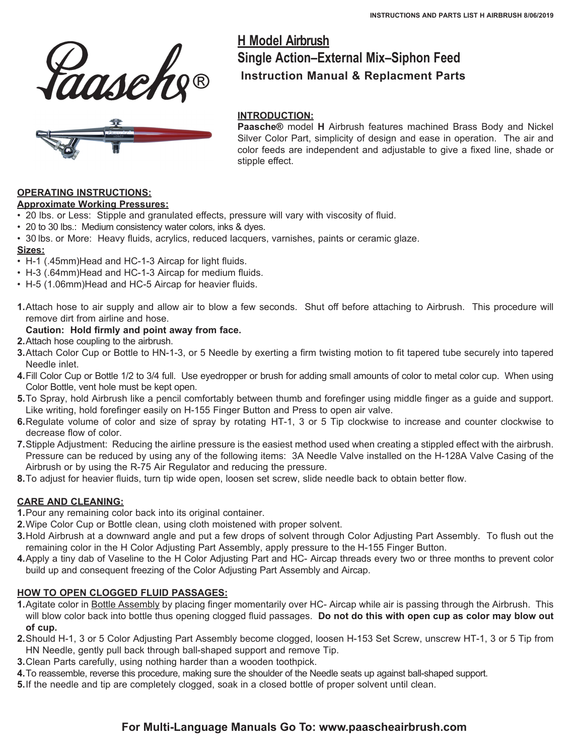



# **H Model Airbrush Single Action–External Mix–Siphon Feed Instruction Manual & Replacment Parts**

#### **INTRODUCTION:**

**Paasche®** model **H** Airbrush features machined Brass Body and Nickel Silver Color Part, simplicity of design and ease in operation. The air and color feeds are independent and adjustable to give a fixed line, shade or stipple effect.

#### **OPERATING INSTRUCTIONS:**

#### **Approximate Working Pressures:**

- • 20 lbs. or Less: Stipple and granulated effects, pressure will vary with viscosity of fluid.
- 20 to 30 lbs.: Medium consistency water colors, inks & dyes.
- 30 lbs. or More: Heavy fluids, acrylics, reduced lacquers, varnishes, paints or ceramic glaze.

#### **Sizes:**

- H-1 (.45mm) Head and HC-1-3 Aircap for light fluids.
- H-3 (.64mm)Head and HC-1-3 Aircap for medium fluids.
- H-5 (1.06mm) Head and HC-5 Aircap for heavier fluids.
- **1.**Attach hose to air supply and allow air to blow a few seconds. Shut off before attaching to Airbrush. This procedure will remove dirt from airline and hose.

#### **Caution: Hold firmly and point away from face.**

- **2.** Attach hose coupling to the airbrush.
- **3.**Attach Color Cup or Bottle to HN-1-3, or 5 Needle by exerting a firm twisting motion to fit tapered tube securely into tapered Needle inlet.
- **4.** Fill Color Cup or Bottle 1/2 to 3/4 full. Use eyedropper or brush for adding small amounts of color to metal color cup. When using Color Bottle, vent hole must be kept open.
- **5.**To Spray, hold Airbrush like a pencil comfortably between thumb and forefinger using middle finger as a guide and support. Like writing, hold forefinger easily on H-155 Finger Button and Press to open air valve.
- **6.**Regulate volume of color and size of spray by rotating HT-1, 3 or 5 Tip clockwise to increase and counter clockwise to decrease flow of color.
- **7.**Stipple Adjustment: Reducing the airline pressure is the easiest method used when creating a stippled effect with the airbrush. Pressure can be reduced by using any of the following items: 3A Needle Valve installed on the H-128A Valve Casing of the Airbrush or by using the R-75 Air Regulator and reducing the pressure.
- **8.**To adjust for heavier fluids, turn tip wide open, loosen set screw, slide needle back to obtain better flow.

#### **CARE AND CLEANING:**

- **1.**Pour any remaining color back into its original container.
- **2.**Wipe Color Cup or Bottle clean, using cloth moistened with proper solvent.
- **3.**Hold Airbrush at a downward angle and put a few drops of solvent through Color Adjusting Part Assembly. To flush out the remaining color in the H Color Adjusting Part Assembly, apply pressure to the H-155 Finger Button.
- **4.**Apply a tiny dab of Vaseline to the H Color Adjusting Part and HC- Aircap threads every two or three months to prevent color build up and consequent freezing of the Color Adjusting Part Assembly and Aircap.

#### **HOW TO OPEN CLOGGED FLUID PASSAGES:**

- **1.**Agitate color in Bottle Assembly by placing finger momentarily over HC- Aircap while air is passing through the Airbrush. This will blow color back into bottle thus opening clogged fluid passages. **Do not do this with open cup as color may blow out of cup.**
- **2.**Should H-1, 3 or 5 Color Adjusting Part Assembly become clogged, loosen H-153 Set Screw, unscrew HT-1, 3 or 5 Tip from HN Needle, gently pull back through ball-shaped support and remove Tip.
- **3.**Clean Parts carefully, using nothing harder than a wooden toothpick.
- **4.** To reassemble, reverse this procedure, making sure the shoulder of the Needle seats up against ball-shaped support.
- **5.**If the needle and tip are completely clogged, soak in a closed bottle of proper solvent until clean.

## **For Multi-Language Manuals Go To: www.paascheairbrush.com**